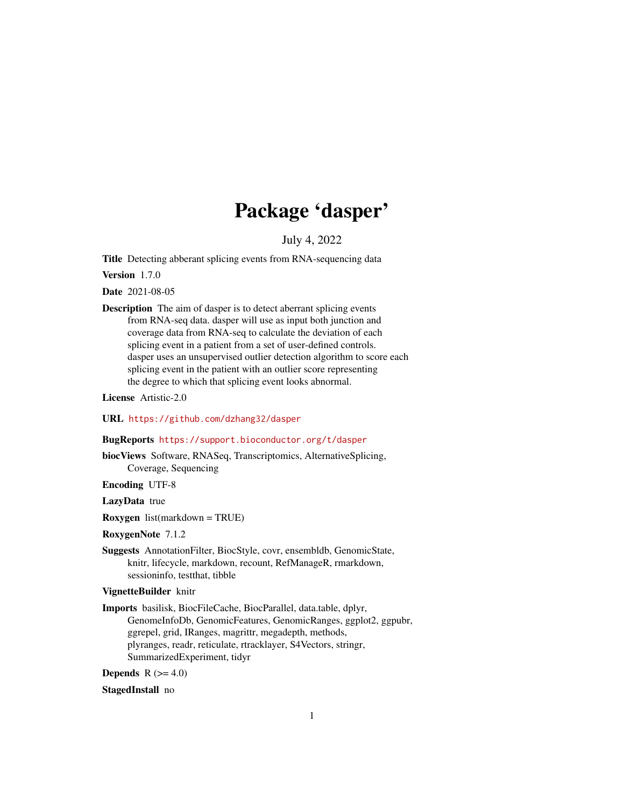## Package 'dasper'

July 4, 2022

<span id="page-0-0"></span>Title Detecting abberant splicing events from RNA-sequencing data

Version 1.7.0

Date 2021-08-05

Description The aim of dasper is to detect aberrant splicing events from RNA-seq data. dasper will use as input both junction and coverage data from RNA-seq to calculate the deviation of each splicing event in a patient from a set of user-defined controls. dasper uses an unsupervised outlier detection algorithm to score each splicing event in the patient with an outlier score representing the degree to which that splicing event looks abnormal.

License Artistic-2.0

URL <https://github.com/dzhang32/dasper>

## BugReports <https://support.bioconductor.org/t/dasper>

biocViews Software, RNASeq, Transcriptomics, AlternativeSplicing, Coverage, Sequencing

Encoding UTF-8

LazyData true

Roxygen list(markdown = TRUE)

RoxygenNote 7.1.2

Suggests AnnotationFilter, BiocStyle, covr, ensembldb, GenomicState, knitr, lifecycle, markdown, recount, RefManageR, rmarkdown, sessioninfo, testthat, tibble

## VignetteBuilder knitr

Imports basilisk, BiocFileCache, BiocParallel, data.table, dplyr, GenomeInfoDb, GenomicFeatures, GenomicRanges, ggplot2, ggpubr, ggrepel, grid, IRanges, magrittr, megadepth, methods, plyranges, readr, reticulate, rtracklayer, S4Vectors, stringr, SummarizedExperiment, tidyr

Depends  $R$  ( $>= 4.0$ )

StagedInstall no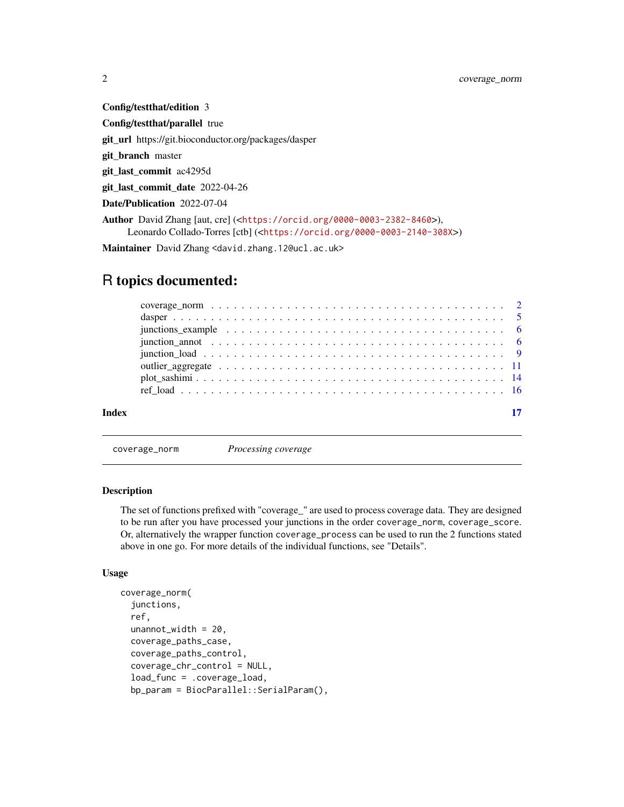<span id="page-1-0"></span>Config/testthat/edition 3 Config/testthat/parallel true git\_url https://git.bioconductor.org/packages/dasper git\_branch master git\_last\_commit ac4295d git last commit date 2022-04-26 Date/Publication 2022-07-04 Author David Zhang [aut, cre] (<<https://orcid.org/0000-0003-2382-8460>>), Leonardo Collado-Torres [ctb] (<<https://orcid.org/0000-0003-2140-308X>>)

Maintainer David Zhang <david.zhang.12@ucl.ac.uk>

## R topics documented:

| junction annot expressed in the set of $\alpha$ is the set of $\alpha$ is the set of $\alpha$ is the set of $\alpha$ is the set of $\alpha$ is the set of $\alpha$ is the set of $\alpha$ is the set of $\alpha$ is the set of $\alpha$ is the set of $\alpha$ is the |  |
|-----------------------------------------------------------------------------------------------------------------------------------------------------------------------------------------------------------------------------------------------------------------------|--|
|                                                                                                                                                                                                                                                                       |  |
|                                                                                                                                                                                                                                                                       |  |
|                                                                                                                                                                                                                                                                       |  |
|                                                                                                                                                                                                                                                                       |  |
|                                                                                                                                                                                                                                                                       |  |
|                                                                                                                                                                                                                                                                       |  |

<span id="page-1-1"></span>coverage\_norm *Processing coverage*

#### <span id="page-1-2"></span>Description

The set of functions prefixed with "coverage\_" are used to process coverage data. They are designed to be run after you have processed your junctions in the order coverage\_norm, coverage\_score. Or, alternatively the wrapper function coverage\_process can be used to run the 2 functions stated above in one go. For more details of the individual functions, see "Details".

## Usage

```
coverage_norm(
  junctions,
  ref,
  unannot_width = 20,
  coverage_paths_case,
  coverage_paths_control,
  coverage_chr_control = NULL,
  load_func = .coverage_load,
  bp_param = BiocParallel::SerialParam(),
```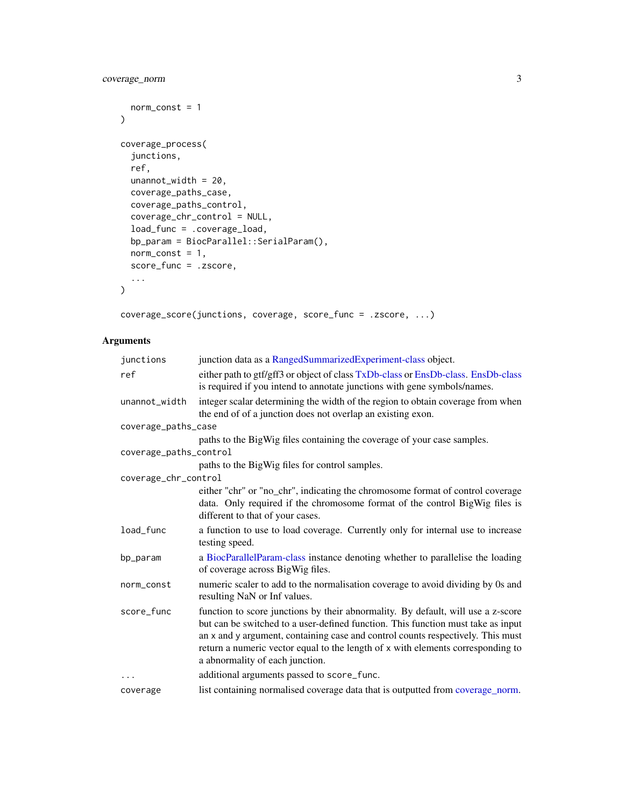```
norm_const = 1
\mathcal{L}coverage_process(
  junctions,
 ref,
 unannot_width = 20,
 coverage_paths_case,
 coverage_paths_control,
 coverage_chr_control = NULL,
 load_func = .coverage_load,
 bp_param = BiocParallel::SerialParam(),
 norm\_const = 1,
 score_func = .zscore,
  ...
)
```
coverage\_score(junctions, coverage, score\_func = .zscore, ...)

## Arguments

| junctions              | junction data as a RangedSummarizedExperiment-class object.                                                                                                                                                                                                                                                                                                                   |
|------------------------|-------------------------------------------------------------------------------------------------------------------------------------------------------------------------------------------------------------------------------------------------------------------------------------------------------------------------------------------------------------------------------|
| ref                    | either path to gtf/gff3 or object of class TxDb-class or EnsDb-class. EnsDb-class<br>is required if you intend to annotate junctions with gene symbols/names.                                                                                                                                                                                                                 |
| unannot_width          | integer scalar determining the width of the region to obtain coverage from when<br>the end of of a junction does not overlap an existing exon.                                                                                                                                                                                                                                |
| coverage_paths_case    |                                                                                                                                                                                                                                                                                                                                                                               |
| coverage_paths_control | paths to the BigWig files containing the coverage of your case samples.                                                                                                                                                                                                                                                                                                       |
|                        | paths to the BigWig files for control samples.                                                                                                                                                                                                                                                                                                                                |
| coverage_chr_control   |                                                                                                                                                                                                                                                                                                                                                                               |
|                        | either "chr" or "no_chr", indicating the chromosome format of control coverage<br>data. Only required if the chromosome format of the control BigWig files is<br>different to that of your cases.                                                                                                                                                                             |
| load_func              | a function to use to load coverage. Currently only for internal use to increase<br>testing speed.                                                                                                                                                                                                                                                                             |
| bp_param               | a BiocParallelParam-class instance denoting whether to parallelise the loading<br>of coverage across BigWig files.                                                                                                                                                                                                                                                            |
| norm_const             | numeric scaler to add to the normalisation coverage to avoid dividing by 0s and<br>resulting NaN or Inf values.                                                                                                                                                                                                                                                               |
| score func             | function to score junctions by their abnormality. By default, will use a z-score<br>but can be switched to a user-defined function. This function must take as input<br>an x and y argument, containing case and control counts respectively. This must<br>return a numeric vector equal to the length of x with elements corresponding to<br>a abnormality of each junction. |
| $\cdots$               | additional arguments passed to score_func.                                                                                                                                                                                                                                                                                                                                    |
| coverage               | list containing normalised coverage data that is outputted from coverage_norm.                                                                                                                                                                                                                                                                                                |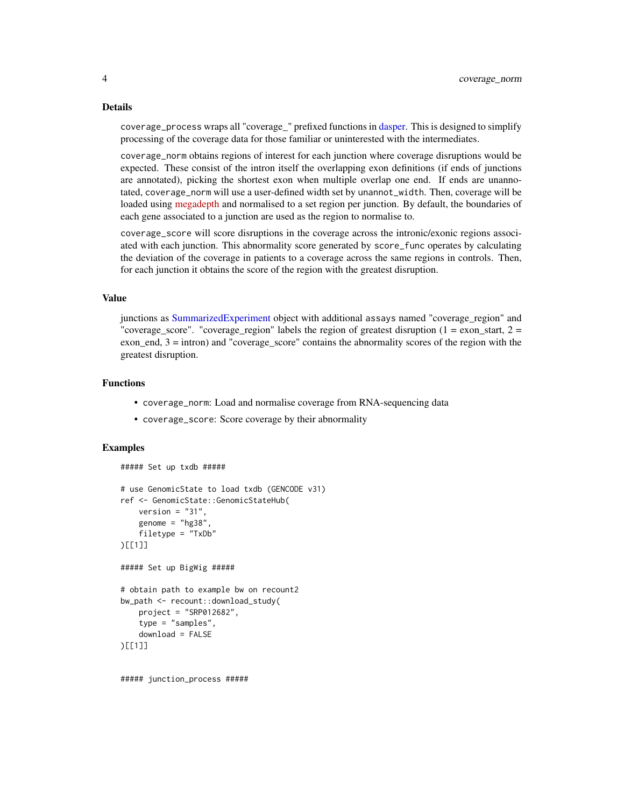#### <span id="page-3-0"></span>Details

coverage\_process wraps all "coverage\_" prefixed functions in [dasper.](#page-4-1) This is designed to simplify processing of the coverage data for those familiar or uninterested with the intermediates.

coverage\_norm obtains regions of interest for each junction where coverage disruptions would be expected. These consist of the intron itself the overlapping exon definitions (if ends of junctions are annotated), picking the shortest exon when multiple overlap one end. If ends are unannotated, coverage\_norm will use a user-defined width set by unannot\_width. Then, coverage will be loaded using [megadepth](https://github.com/ChristopherWilks/megadepth) and normalised to a set region per junction. By default, the boundaries of each gene associated to a junction are used as the region to normalise to.

coverage\_score will score disruptions in the coverage across the intronic/exonic regions associated with each junction. This abnormality score generated by score\_func operates by calculating the deviation of the coverage in patients to a coverage across the same regions in controls. Then, for each junction it obtains the score of the region with the greatest disruption.

#### Value

junctions as [SummarizedExperiment](#page-0-0) object with additional assays named "coverage\_region" and "coverage\_score". "coverage\_region" labels the region of greatest disruption ( $1 =$ exon\_start,  $2 =$ exon\_end, 3 = intron) and "coverage\_score" contains the abnormality scores of the region with the greatest disruption.

#### Functions

- coverage\_norm: Load and normalise coverage from RNA-sequencing data
- coverage\_score: Score coverage by their abnormality

## Examples

##### Set up txdb #####

```
# use GenomicState to load txdb (GENCODE v31)
ref <- GenomicState::GenomicStateHub(
    version = "31".
   genome = "hg38"filetype = "TxDb"
)[[1]]
##### Set up BigWig #####
# obtain path to example bw on recount2
bw_path <- recount::download_study(
   project = "SRP012682",
    type = "samples",
    download = FALSE
)[[1]]
```
##### junction\_process #####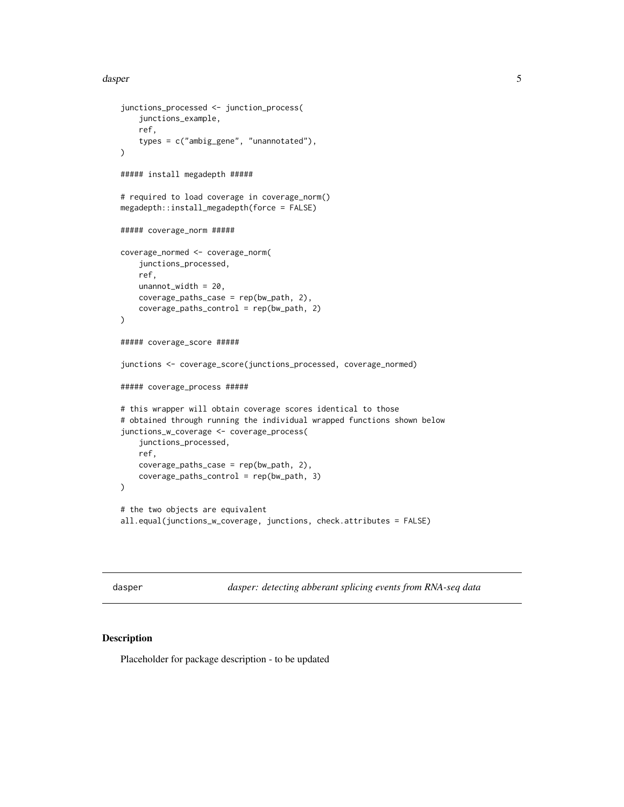#### <span id="page-4-0"></span>dasper 55 metals of the state of the state of the state of the state of the state of the state of the state of the state of the state of the state of the state of the state of the state of the state of the state of the sta

```
junctions_processed <- junction_process(
    junctions_example,
   ref,
   types = c("ambig_gene", "unannotated"),
)
##### install megadepth #####
# required to load coverage in coverage_norm()
megadepth::install_megadepth(force = FALSE)
##### coverage_norm #####
coverage_normed <- coverage_norm(
    junctions_processed,
   ref,
   unannot_width = 20,
   coverage_paths_case = rep(bw_path, 2),
   coverage_paths_control = rep(bw_path, 2)
)
##### coverage_score #####
junctions <- coverage_score(junctions_processed, coverage_normed)
##### coverage_process #####
# this wrapper will obtain coverage scores identical to those
# obtained through running the individual wrapped functions shown below
junctions_w_coverage <- coverage_process(
    junctions_processed,
   ref,
   coverage_paths_case = rep(bw_path, 2),
    coverage_paths_control = rep(bw_path, 3)
\mathcal{L}# the two objects are equivalent
all.equal(junctions_w_coverage, junctions, check.attributes = FALSE)
```
<span id="page-4-1"></span>dasper *dasper: detecting abberant splicing events from RNA-seq data*

## Description

Placeholder for package description - to be updated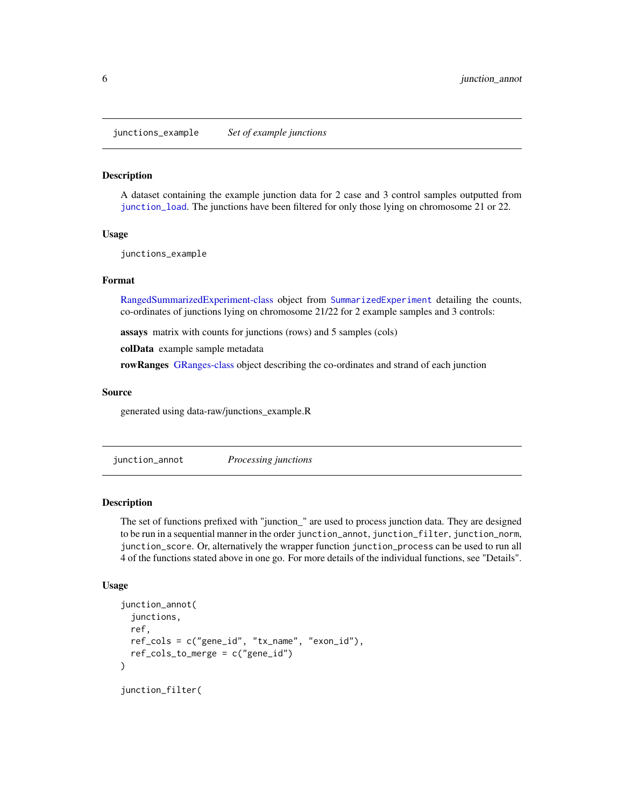<span id="page-5-0"></span>junctions\_example *Set of example junctions*

#### Description

A dataset containing the example junction data for 2 case and 3 control samples outputted from [junction\\_load](#page-8-1). The junctions have been filtered for only those lying on chromosome 21 or 22.

## Usage

junctions\_example

## Format

[RangedSummarizedExperiment-class](#page-0-0) object from [SummarizedExperiment](#page-0-0) detailing the counts, co-ordinates of junctions lying on chromosome 21/22 for 2 example samples and 3 controls:

assays matrix with counts for junctions (rows) and 5 samples (cols)

colData example sample metadata

rowRanges [GRanges-class](#page-0-0) object describing the co-ordinates and strand of each junction

#### Source

generated using data-raw/junctions\_example.R

<span id="page-5-1"></span>junction\_annot *Processing junctions*

#### <span id="page-5-2"></span>Description

The set of functions prefixed with "junction\_" are used to process junction data. They are designed to be run in a sequential manner in the order junction\_annot, junction\_filter, junction\_norm, junction\_score. Or, alternatively the wrapper function junction\_process can be used to run all 4 of the functions stated above in one go. For more details of the individual functions, see "Details".

## Usage

```
junction_annot(
  junctions,
  ref,
  ref_cols = c("gene_id", "tx_name", "exon_id"),
 ref\_cols_to_merge = c("gene_id"))
junction_filter(
```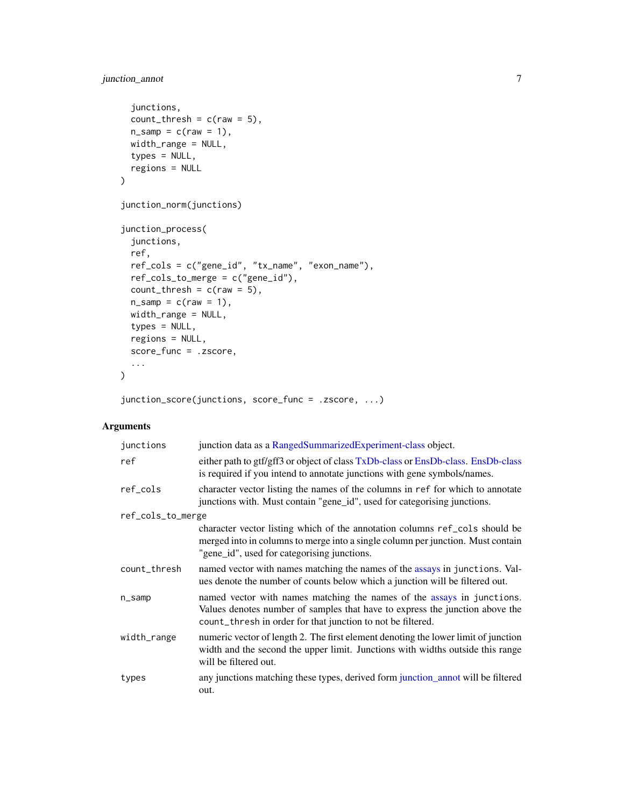## <span id="page-6-0"></span>junction\_annot 7

```
junctions,
 count_{thresh} = c(raw = 5),
 n\_samp = c(raw = 1),
 width_range = NULL,
  types = NULL,
 regions = NULL
\mathcal{L}junction_norm(junctions)
junction_process(
  junctions,
 ref,
 ref_cols = c("gene_id", "tx_name", "exon_name"),
 ref_cols_to_merge = c("gene_id"),
 count_{thresh} = c(raw = 5),
 n\_samp = c(raw = 1),width_range = NULL,
 types = NULL,
  regions = NULL,
 score_func = .zscore,
  ...
\mathcal{L}
```
junction\_score(junctions, score\_func = .zscore, ...)

## Arguments

| junctions         | junction data as a RangedSummarizedExperiment-class object.                                                                                                                                                           |
|-------------------|-----------------------------------------------------------------------------------------------------------------------------------------------------------------------------------------------------------------------|
| ref               | either path to gtf/gff3 or object of class TxDb-class or EnsDb-class. EnsDb-class<br>is required if you intend to annotate junctions with gene symbols/names.                                                         |
| ref_cols          | character vector listing the names of the columns in ref for which to annotate<br>junctions with. Must contain "gene_id", used for categorising junctions.                                                            |
| ref_cols_to_merge |                                                                                                                                                                                                                       |
|                   | character vector listing which of the annotation columns ref cols should be<br>merged into in columns to merge into a single column per junction. Must contain<br>"gene_id", used for categorising junctions.         |
| count_thresh      | named vector with names matching the names of the assays in junctions. Val-<br>ues denote the number of counts below which a junction will be filtered out.                                                           |
| $n$ _samp         | named vector with names matching the names of the assays in junctions.<br>Values denotes number of samples that have to express the junction above the<br>count_thresh in order for that junction to not be filtered. |
| width_range       | numeric vector of length 2. The first element denoting the lower limit of junction<br>width and the second the upper limit. Junctions with widths outside this range<br>will be filtered out.                         |
| types             | any junctions matching these types, derived form junction_annot will be filtered<br>out.                                                                                                                              |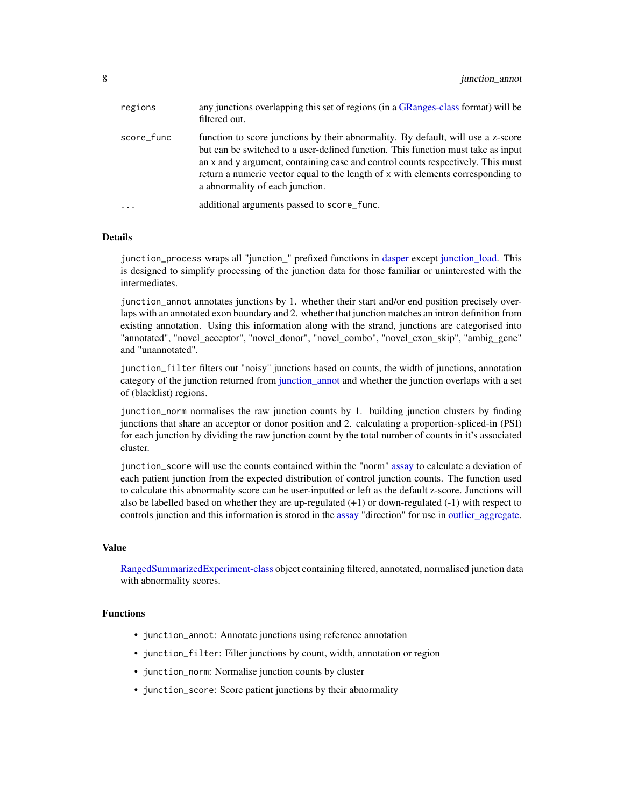<span id="page-7-0"></span>

| regions    | any junctions overlapping this set of regions (in a GRanges-class format) will be<br>filtered out.                                                                                                                                                                                                                                                                            |
|------------|-------------------------------------------------------------------------------------------------------------------------------------------------------------------------------------------------------------------------------------------------------------------------------------------------------------------------------------------------------------------------------|
| score_func | function to score junctions by their abnormality. By default, will use a z-score<br>but can be switched to a user-defined function. This function must take as input<br>an x and y argument, containing case and control counts respectively. This must<br>return a numeric vector equal to the length of x with elements corresponding to<br>a abnormality of each junction. |
| $\ddots$   | additional arguments passed to score_func.                                                                                                                                                                                                                                                                                                                                    |

## Details

junction\_process wraps all "junction\_" prefixed functions in [dasper](#page-4-1) except [junction\\_load.](#page-8-1) This is designed to simplify processing of the junction data for those familiar or uninterested with the intermediates.

junction\_annot annotates junctions by 1. whether their start and/or end position precisely overlaps with an annotated exon boundary and 2. whether that junction matches an intron definition from existing annotation. Using this information along with the strand, junctions are categorised into "annotated", "novel\_acceptor", "novel\_donor", "novel\_combo", "novel\_exon\_skip", "ambig\_gene" and "unannotated".

junction\_filter filters out "noisy" junctions based on counts, the width of junctions, annotation category of the junction returned from [junction\\_annot](#page-5-1) and whether the junction overlaps with a set of (blacklist) regions.

junction\_norm normalises the raw junction counts by 1. building junction clusters by finding junctions that share an acceptor or donor position and 2. calculating a proportion-spliced-in (PSI) for each junction by dividing the raw junction count by the total number of counts in it's associated cluster.

junction\_score will use the counts contained within the "norm" [assay](#page-0-0) to calculate a deviation of each patient junction from the expected distribution of control junction counts. The function used to calculate this abnormality score can be user-inputted or left as the default z-score. Junctions will also be labelled based on whether they are up-regulated (+1) or down-regulated (-1) with respect to controls junction and this information is stored in the [assay](#page-0-0) "direction" for use in [outlier\\_aggregate.](#page-10-1)

## Value

[RangedSummarizedExperiment-class](#page-0-0) object containing filtered, annotated, normalised junction data with abnormality scores.

## Functions

- junction\_annot: Annotate junctions using reference annotation
- junction\_filter: Filter junctions by count, width, annotation or region
- junction\_norm: Normalise junction counts by cluster
- junction\_score: Score patient junctions by their abnormality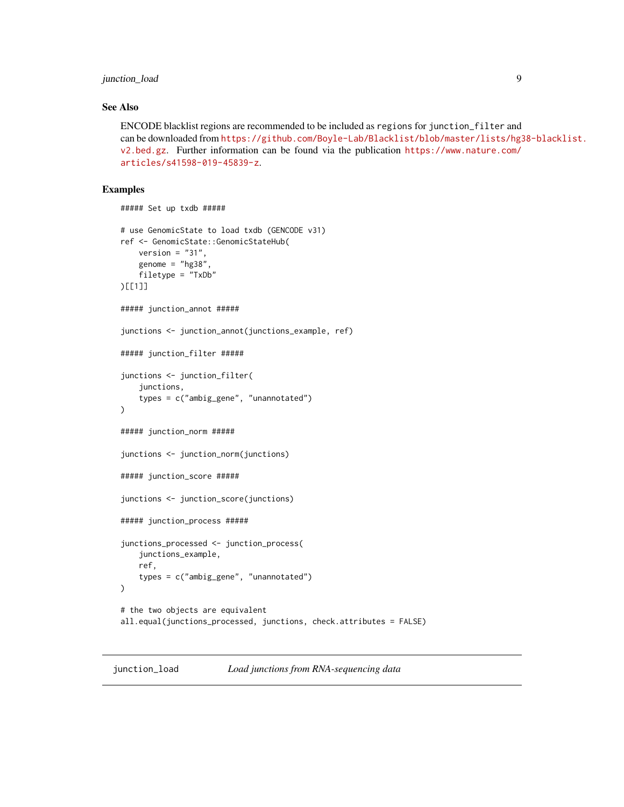## <span id="page-8-0"></span>junction\_load 9

### See Also

ENCODE blacklist regions are recommended to be included as regions for junction\_filter and can be downloaded from [https://github.com/Boyle-Lab/Blacklist/blob/master/lists/hg3](https://github.com/Boyle-Lab/Blacklist/blob/master/lists/hg38-blacklist.v2.bed.gz)8-blacklist. [v2.bed.gz](https://github.com/Boyle-Lab/Blacklist/blob/master/lists/hg38-blacklist.v2.bed.gz). Further information can be found via the publication [https://www.nature.com/](https://www.nature.com/articles/s41598-019-45839-z) [articles/s41598-019-45839-z](https://www.nature.com/articles/s41598-019-45839-z).

```
##### Set up txdb #####
# use GenomicState to load txdb (GENCODE v31)
ref <- GenomicState::GenomicStateHub(
   version = "31",
   genome = "hg38"filetype = "TxDb"
)[[1]]
##### junction_annot #####
junctions <- junction_annot(junctions_example, ref)
##### junction_filter #####
junctions <- junction_filter(
    junctions,
    types = c("ambig_gene", "unannotated")
)
##### junction_norm #####
junctions <- junction_norm(junctions)
##### junction_score #####
junctions <- junction_score(junctions)
##### junction_process #####
junctions_processed <- junction_process(
    junctions_example,
   ref,
    types = c("ambig_gene", "unannotated")
\mathcal{L}# the two objects are equivalent
all.equal(junctions_processed, junctions, check.attributes = FALSE)
```
<span id="page-8-1"></span>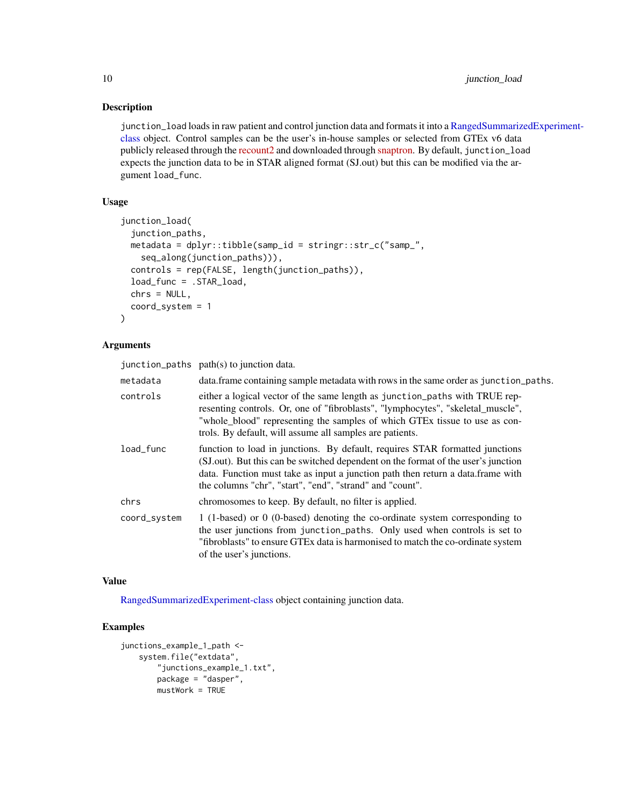## Description

junction\_load loads in raw patient and control junction data and formats it into a [RangedSummariz](#page-0-0)edExperiment[class](#page-0-0) object. Control samples can be the user's in-house samples or selected from GTEx v6 data publicly released through the [recount2](https://jhubiostatistics.shinyapps.io/recount/) and downloaded through [snaptron.](http://snaptron.cs.jhu.edu/) By default, junction\_load expects the junction data to be in STAR aligned format (SJ.out) but this can be modified via the argument load\_func.

## Usage

```
junction_load(
  junction_paths,
 metadata = dplyr::tibble(samp_id = stringr::str_c("samp_",
    seq_along(junction_paths))),
  controls = rep(FALSE, length(junction_paths)),
  load_func = .STAR_load,
 chrs = NULL,
  coord_system = 1
)
```
## Arguments

junction\_paths path(s) to junction data.

| metadata     | data. frame containing sample metadata with rows in the same order as junction_paths.                                                                                                                                                                                                                            |
|--------------|------------------------------------------------------------------------------------------------------------------------------------------------------------------------------------------------------------------------------------------------------------------------------------------------------------------|
| controls     | either a logical vector of the same length as junction paths with TRUE rep-<br>resenting controls. Or, one of "fibroblasts", "lymphocytes", "skeletal_muscle",<br>"whole blood" representing the samples of which GTEx tissue to use as con-<br>trols. By default, will assume all samples are patients.         |
| load func    | function to load in junctions. By default, requires STAR formatted junctions<br>(SJ.out). But this can be switched dependent on the format of the user's junction<br>data. Function must take as input a junction path then return a data.frame with<br>the columns "chr", "start", "end", "strand" and "count". |
| chrs         | chromosomes to keep. By default, no filter is applied.                                                                                                                                                                                                                                                           |
| coord_system | 1 (1-based) or 0 (0-based) denoting the co-ordinate system corresponding to<br>the user junctions from junction_paths. Only used when controls is set to<br>"fibroblasts" to ensure GTEx data is harmonised to match the co-ordinate system<br>of the user's junctions.                                          |

#### Value

[RangedSummarizedExperiment-class](#page-0-0) object containing junction data.

```
junctions_example_1_path <-
    system.file("extdata",
       "junctions_example_1.txt",
       package = "dasper",
       mustWork = TRUE
```
<span id="page-9-0"></span>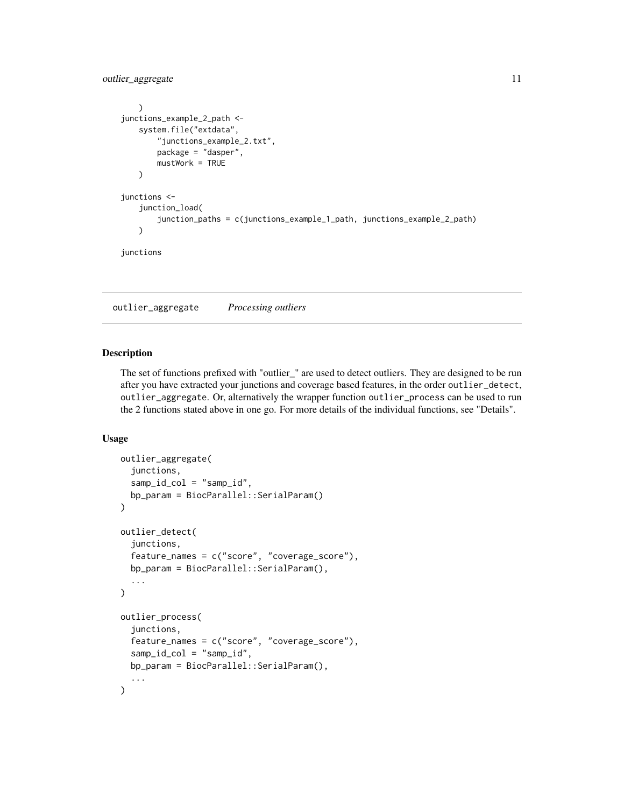<span id="page-10-0"></span>outlier\_aggregate 11

```
)
junctions_example_2_path <-
    system.file("extdata",
        "junctions_example_2.txt",
        package = "dasper",
        mustWork = TRUE
    )
junctions <-
    junction_load(
        junction_paths = c(junctions_example_1_path, junctions_example_2_path)
    \mathcal{L}junctions
```
<span id="page-10-1"></span>outlier\_aggregate *Processing outliers*

## Description

The set of functions prefixed with "outlier\_" are used to detect outliers. They are designed to be run after you have extracted your junctions and coverage based features, in the order outlier\_detect, outlier\_aggregate. Or, alternatively the wrapper function outlier\_process can be used to run the 2 functions stated above in one go. For more details of the individual functions, see "Details".

#### Usage

```
outlier_aggregate(
  junctions,
  samp_id_col = "samp_id",
  bp_param = BiocParallel::SerialParam()
)
outlier_detect(
  junctions,
  feature_names = c("score", "coverage_score"),
  bp_param = BiocParallel::SerialParam(),
  ...
)
outlier_process(
  junctions,
  feature_names = c("score", "coverage_score"),
  sampling_col = "sampling_d",
  bp_param = BiocParallel::SerialParam(),
  ...
)
```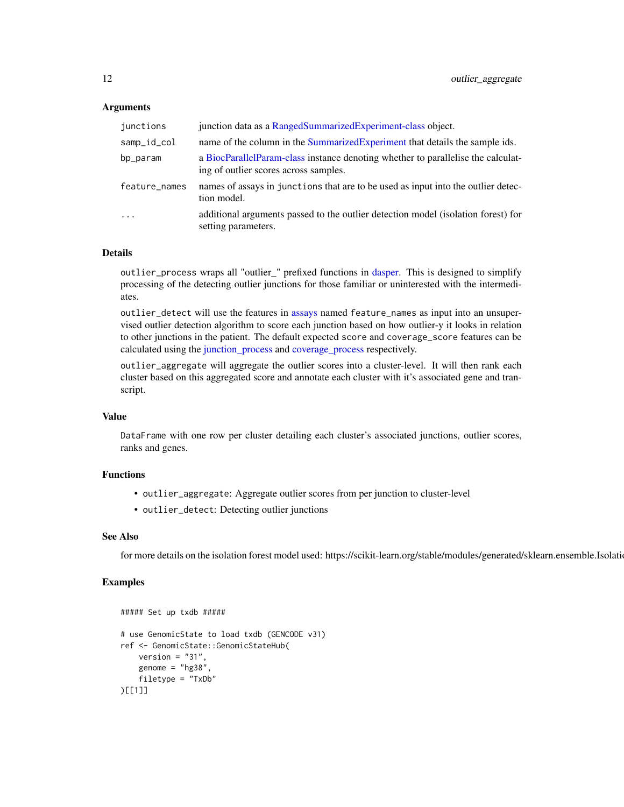## <span id="page-11-0"></span>Arguments

| junctions     | junction data as a RangedSummarizedExperiment-class object.                                                               |
|---------------|---------------------------------------------------------------------------------------------------------------------------|
| samp_id_col   | name of the column in the Summarized Experiment that details the sample ids.                                              |
| bp_param      | a BiocParallelParam-class instance denoting whether to parallelise the calculat-<br>ing of outlier scores across samples. |
| feature_names | names of assays in junctions that are to be used as input into the outlier detec-<br>tion model.                          |
| $\ddotsc$     | additional arguments passed to the outlier detection model (isolation forest) for<br>setting parameters.                  |

## Details

outlier\_process wraps all "outlier\_" prefixed functions in [dasper.](#page-4-1) This is designed to simplify processing of the detecting outlier junctions for those familiar or uninterested with the intermediates.

outlier\_detect will use the features in [assays](#page-0-0) named feature\_names as input into an unsupervised outlier detection algorithm to score each junction based on how outlier-y it looks in relation to other junctions in the patient. The default expected score and coverage\_score features can be calculated using the [junction\\_process](#page-5-2) and [coverage\\_process](#page-1-2) respectively.

outlier\_aggregate will aggregate the outlier scores into a cluster-level. It will then rank each cluster based on this aggregated score and annotate each cluster with it's associated gene and transcript.

#### Value

DataFrame with one row per cluster detailing each cluster's associated junctions, outlier scores, ranks and genes.

## Functions

- outlier\_aggregate: Aggregate outlier scores from per junction to cluster-level
- outlier\_detect: Detecting outlier junctions

## See Also

for more details on the isolation forest model used: https://scikit-learn.org/stable/modules/generated/sklearn.ensemble.Isolation

```
##### Set up txdb #####
# use GenomicState to load txdb (GENCODE v31)
ref <- GenomicState::GenomicStateHub(
   version = "31",
    genome = "hg38"filetype = "TxDb"
)[[1]]
```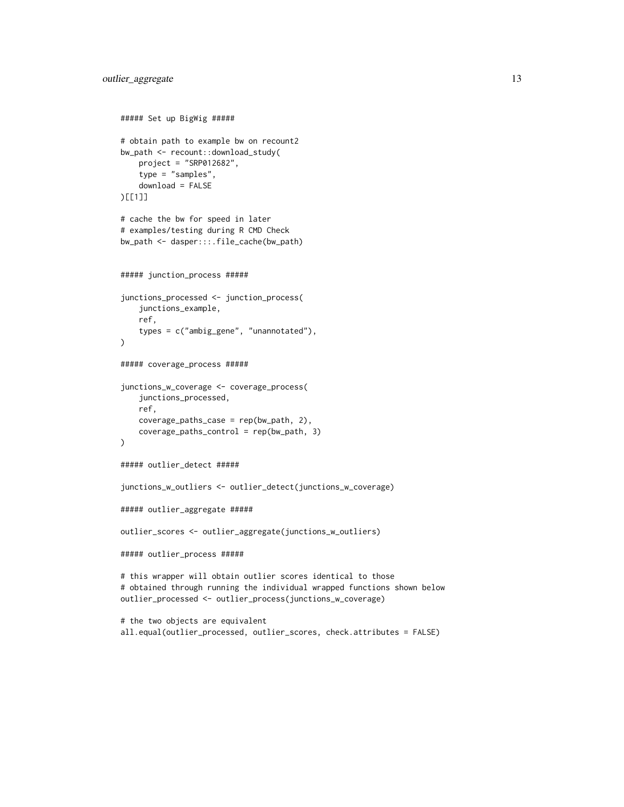```
##### Set up BigWig #####
# obtain path to example bw on recount2
bw_path <- recount::download_study(
   project = "SRP012682",
    type = "samples",
    download = FALSE
)[[1]]
# cache the bw for speed in later
# examples/testing during R CMD Check
bw_path <- dasper:::.file_cache(bw_path)
##### junction_process #####
junctions_processed <- junction_process(
    junctions_example,
    ref,
    types = c("ambig_gene", "unannotated"),
\lambda##### coverage_process #####
junctions_w_coverage <- coverage_process(
    junctions_processed,
    ref,
    coverage_paths_case = rep(bw_path, 2),
    coverage_paths_control = rep(bw_path, 3)
\mathcal{L}##### outlier_detect #####
junctions_w_outliers <- outlier_detect(junctions_w_coverage)
##### outlier_aggregate #####
outlier_scores <- outlier_aggregate(junctions_w_outliers)
##### outlier_process #####
# this wrapper will obtain outlier scores identical to those
# obtained through running the individual wrapped functions shown below
outlier_processed <- outlier_process(junctions_w_coverage)
# the two objects are equivalent
all.equal(outlier_processed, outlier_scores, check.attributes = FALSE)
```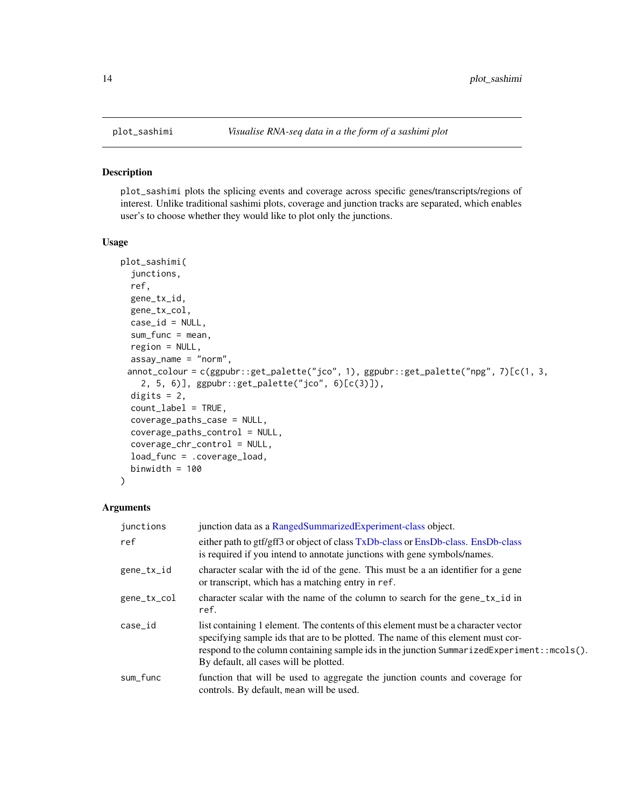#### Description

plot\_sashimi plots the splicing events and coverage across specific genes/transcripts/regions of interest. Unlike traditional sashimi plots, coverage and junction tracks are separated, which enables user's to choose whether they would like to plot only the junctions.

## Usage

```
plot_sashimi(
  junctions,
  ref,
  gene_tx_id,
 gene_tx_col,
  case_id = NULL,
  sum_func = mean,
  region = NULL,
  assay_name = "norm",
 annot_colour = c(ggpubr::get_palette("jco", 1), ggpubr::get_palette("npg", 7)[c(1, 3,
    2, 5, 6)], ggpubr::get_palette("jco", 6)[c(3)]),
 digits = 2,
  count_label = TRUE,
  coverage_paths_case = NULL,
  coverage_paths_control = NULL,
  coverage_chr_control = NULL,
  load_func = .coverage_load,
 binwidth = 100)
```
## Arguments

| junctions   | junction data as a RangedSummarizedExperiment-class object.                                                                                                                                                                                                                                                      |
|-------------|------------------------------------------------------------------------------------------------------------------------------------------------------------------------------------------------------------------------------------------------------------------------------------------------------------------|
| ref         | either path to gtf/gff3 or object of class TxDb-class or EnsDb-class. EnsDb-class<br>is required if you intend to annotate junctions with gene symbols/names.                                                                                                                                                    |
| gene_tx_id  | character scalar with the id of the gene. This must be a an identifier for a gene<br>or transcript, which has a matching entry in ref.                                                                                                                                                                           |
| gene_tx_col | character scalar with the name of the column to search for the gene_tx_id in<br>ref.                                                                                                                                                                                                                             |
| case_id     | list containing 1 element. The contents of this element must be a character vector<br>specifying sample ids that are to be plotted. The name of this element must cor-<br>respond to the column containing sample ids in the junction SummarizedExperiment: : mcols().<br>By default, all cases will be plotted. |
| sum_func    | function that will be used to aggregate the junction counts and coverage for<br>controls. By default, mean will be used.                                                                                                                                                                                         |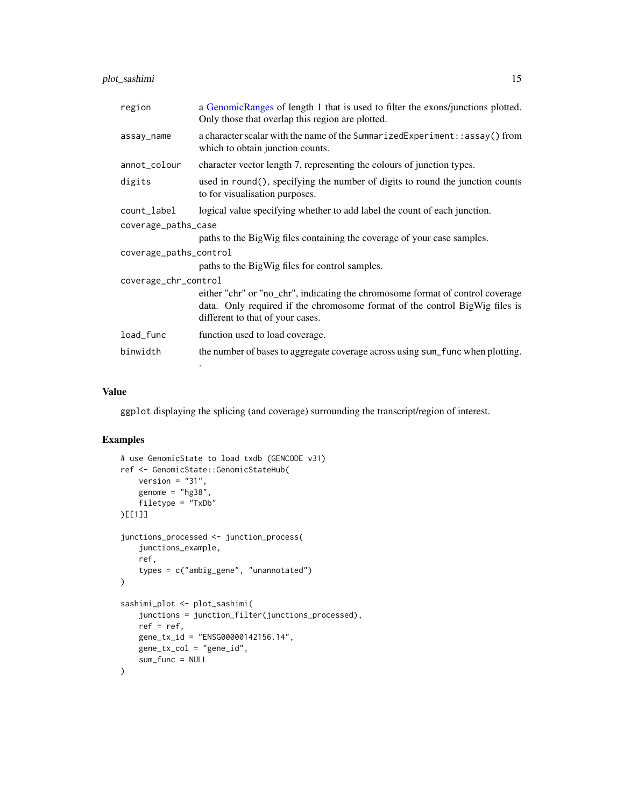<span id="page-14-0"></span>plot\_sashimi 15

| region                 | a GenomicRanges of length 1 that is used to filter the exons/junctions plotted.<br>Only those that overlap this region are plotted.                                                               |
|------------------------|---------------------------------------------------------------------------------------------------------------------------------------------------------------------------------------------------|
| assay_name             | a character scalar with the name of the SummarizedExperiment:: assay() from<br>which to obtain junction counts.                                                                                   |
| annot_colour           | character vector length 7, representing the colours of junction types.                                                                                                                            |
| digits                 | used in round(), specifying the number of digits to round the junction counts<br>to for visualisation purposes.                                                                                   |
| count_label            | logical value specifying whether to add label the count of each junction.                                                                                                                         |
| coverage_paths_case    |                                                                                                                                                                                                   |
|                        | paths to the BigWig files containing the coverage of your case samples.                                                                                                                           |
| coverage_paths_control |                                                                                                                                                                                                   |
|                        | paths to the BigWig files for control samples.                                                                                                                                                    |
| coverage_chr_control   |                                                                                                                                                                                                   |
|                        | either "chr" or "no_chr", indicating the chromosome format of control coverage<br>data. Only required if the chromosome format of the control BigWig files is<br>different to that of your cases. |
| load_func              | function used to load coverage.                                                                                                                                                                   |
| binwidth               | the number of bases to aggregate coverage across using sum_func when plotting.                                                                                                                    |
|                        |                                                                                                                                                                                                   |

## Value

ggplot displaying the splicing (and coverage) surrounding the transcript/region of interest.

```
# use GenomicState to load txdb (GENCODE v31)
ref <- GenomicState::GenomicStateHub(
   version = "31",genome = "hg38",
   filetype = "TxDb"
)[[1]]
junctions_processed <- junction_process(
    junctions_example,
   ref,
   types = c("ambig_gene", "unannotated")
)
sashimi_plot <- plot_sashimi(
   junctions = junction_filter(junctions_processed),
   ref = ref,gene_tx_id = "ENSG00000142156.14",
   gene_tx_col = "gene_id",
   sum_func = NULL
)
```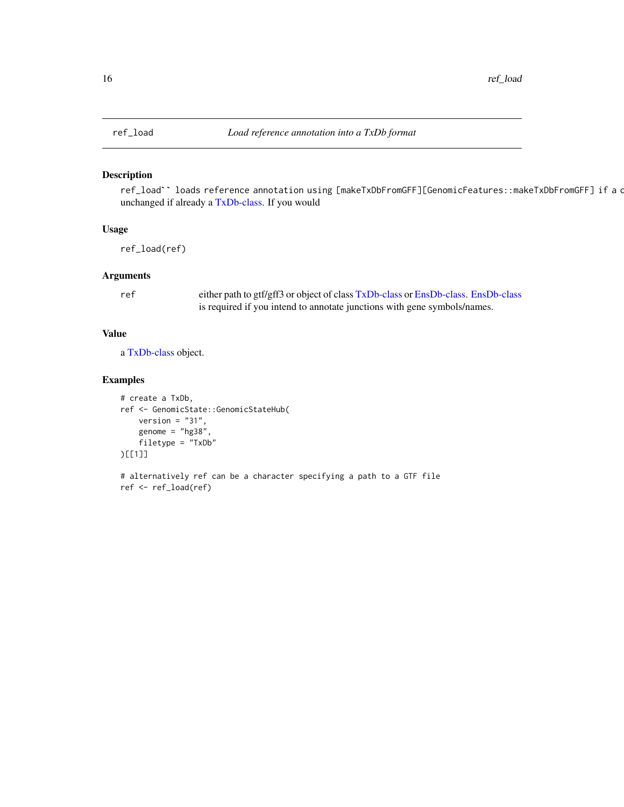## Description

ref\_load`` loads reference annotation using [makeTxDbFromGFF][GenomicFeatures::makeTxDbFromGFF] if a c unchanged if already a [TxDb-class.](#page-0-0) If you would

## Usage

ref\_load(ref)

## Arguments

ref either path to gtf/gff3 or object of class [TxDb-class](#page-0-0) or [EnsDb-class.](#page-0-0) [EnsDb-class](#page-0-0) is required if you intend to annotate junctions with gene symbols/names.

#### Value

a [TxDb-class](#page-0-0) object.

```
# create a TxDb,
ref <- GenomicState::GenomicStateHub(
   version = "31",genome = "hg38"filetype = "TxDb"
)[[1]]
```

```
# alternatively ref can be a character specifying a path to a GTF file
ref <- ref_load(ref)
```